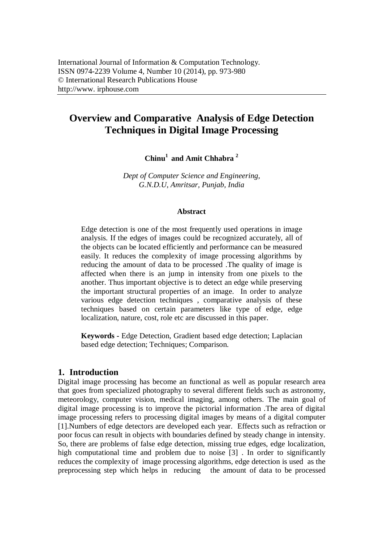# **Overview and Comparative Analysis of Edge Detection Techniques in Digital Image Processing**

**Chinu<sup>1</sup>and Amit Chhabra <sup>2</sup>**

*Dept of Computer Science and Engineering, G.N.D.U, Amritsar, Punjab, India*

#### **Abstract**

Edge detection is one of the most frequently used operations in image analysis. If the edges of images could be recognized accurately, all of the objects can be located efficiently and performance can be measured easily. It reduces the complexity of image processing algorithms by reducing the amount of data to be processed .The quality of image is affected when there is an jump in intensity from one pixels to the another. Thus important objective is to detect an edge while preserving the important structural properties of an image. In order to analyze various edge detection techniques , comparative analysis of these techniques based on certain parameters like type of edge, edge localization, nature, cost, role etc are discussed in this paper.

**Keywords -** Edge Detection, Gradient based edge detection; Laplacian based edge detection; Techniques; Comparison.

#### **1. Introduction**

Digital image processing has become an functional as well as popular research area that goes from specialized photography to several different fields such as astronomy, meteorology, computer vision, medical imaging, among others. The main goal of digital image processing is to improve the pictorial information .The area of digital image processing refers to processing digital images by means of a digital computer [1].Numbers of edge detectors are developed each year. Effects such as refraction or poor focus can result in objects with boundaries defined by steady change in intensity. So, there are problems of false edge detection, missing true edges, edge localization, high computational time and problem due to noise [3]. In order to significantly reduces the complexity of image processing algorithms, edge detection is used as the preprocessing step which helps in reducing the amount of data to be processed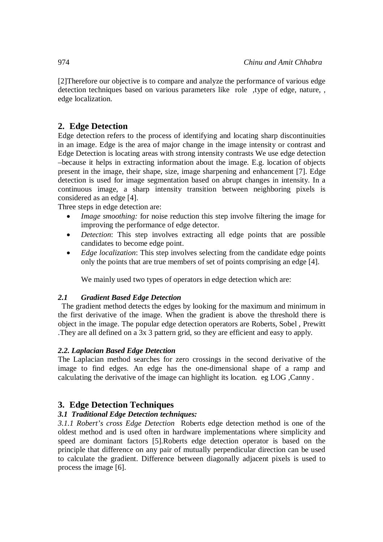[2]Therefore our objective is to compare and analyze the performance of various edge detection techniques based on various parameters like role ,type of edge, nature, , edge localization.

# **2. Edge Detection**

Edge detection refers to the process of identifying and locating sharp discontinuities in an image. Edge is the area of major change in the image intensity or contrast and Edge Detection is locating areas with strong intensity contrasts We use edge detection –because it helps in extracting information about the image. E.g. location of objects present in the image, their shape, size, image sharpening and enhancement [7]. Edge detection is used for image segmentation based on abrupt changes in intensity. In a continuous image, a sharp intensity transition between neighboring pixels is considered as an edge [4].

Three steps in edge detection are:

- *Image smoothing:* for noise reduction this step involve filtering the image for improving the performance of edge detector.
- *Detection*: This step involves extracting all edge points that are possible candidates to become edge point.
- *Edge localization*: This step involves selecting from the candidate edge points only the points that are true members of set of points comprising an edge [4].

We mainly used two types of operators in edge detection which are:

## *2.1 Gradient Based Edge Detection*

The gradient method detects the edges by looking for the maximum and minimum in the first derivative of the image. When the gradient is above the threshold there is object in the image. The popular edge detection operators are Roberts, Sobel , Prewitt .They are all defined on a 3x 3 pattern grid, so they are efficient and easy to apply.

#### *2.2. Laplacian Based Edge Detection*

The Laplacian method searches for zero crossings in the second derivative of the image to find edges. An edge has the one-dimensional shape of a ramp and calculating the derivative of the image can highlight its location. eg LOG ,Canny .

# **3. Edge Detection Techniques**

## *3.1 Traditional Edge Detection techniques:*

*3.1.1 Robert's cross Edge Detection* Roberts edge detection method is one of the oldest method and is used often in hardware implementations where simplicity and speed are dominant factors [5].Roberts edge detection operator is based on the principle that difference on any pair of mutually perpendicular direction can be used to calculate the gradient. Difference between diagonally adjacent pixels is used to process the image [6].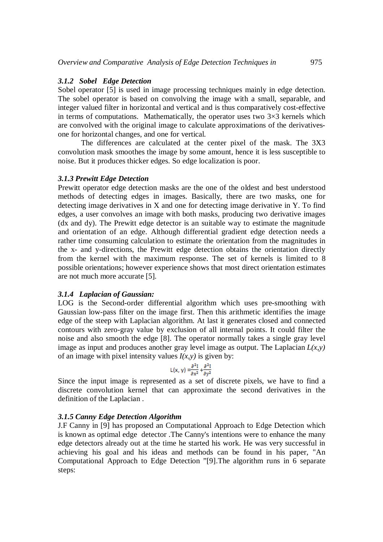#### *3.1.2 Sobel Edge Detection*

Sobel operator [5] is used in image processing techniques mainly in edge detection. The sobel operator is based on convolving the image with a small, separable, and integer valued filter in horizontal and vertical and is thus comparatively cost-effective in terms of computations. Mathematically, the operator uses two  $3\times3$  kernels which are convolved with the original image to calculate approximations of the derivativesone for horizontal changes, and one for vertical.

The differences are calculated at the center pixel of the mask. The 3X3 convolution mask smoothes the image by some amount, hence it is less susceptible to noise. But it produces thicker edges. So edge localization is poor.

#### *3.1.3 Prewitt Edge Detection*

Prewitt operator edge detection masks are the one of the oldest and best understood methods of detecting edges in images. Basically, there are two masks, one for detecting image derivatives in X and one for detecting image derivative in Y. To find edges, a user convolves an image with both masks, producing two derivative images (dx and dy). The Prewitt edge detector is an suitable way to estimate the magnitude and orientation of an edge. Although differential gradient edge detection needs a rather time consuming calculation to estimate the orientation from the magnitudes in the x- and y-directions, the Prewitt edge detection obtains the orientation directly from the kernel with the maximum response. The set of kernels is limited to 8 possible orientations; however experience shows that most direct orientation estimates are not much more accurate [5].

#### *3.1.4 Laplacian of Gaussian:*

LOG is the Second-order differential algorithm which uses pre-smoothing with Gaussian low-pass filter on the image first. Then this arithmetic identifies the image edge of the steep with Laplacian algorithm. At last it generates closed and connected contours with zero-gray value by exclusion of all internal points. It could filter the noise and also smooth the edge [8]. The operator normally takes a single gray level image as input and produces another gray level image as output. The Laplacian  $L(x, y)$ of an image with pixel intensity values  $I(x, y)$  is given by:

$$
L(x, y) = \frac{\partial^2 I}{\partial x^2} + \frac{\partial^2 I}{\partial y^2}
$$

Since the input image is represented as a set of discrete pixels, we have to find a discrete convolution kernel that can approximate the second derivatives in the definition of the Laplacian .

#### *3.1.5 Canny Edge Detection Algorithm*

J.F Canny in [9] has proposed an Computational Approach to Edge Detection which is known as optimal edge detector .The Canny's intentions were to enhance the many edge detectors already out at the time he started his work. He was very successful in achieving his goal and his ideas and methods can be found in his paper, "An Computational Approach to Edge Detection "[9].The algorithm runs in 6 separate steps: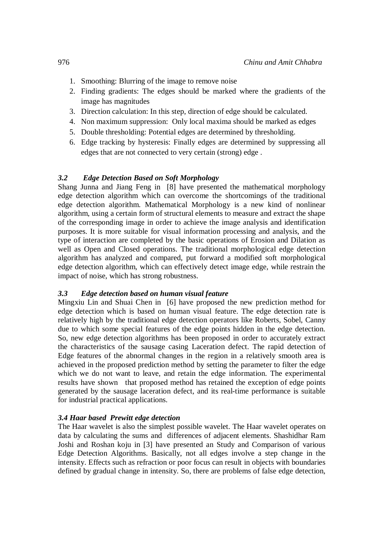- 1. Smoothing: Blurring of the image to remove noise
- 2. Finding gradients: The edges should be marked where the gradients of the image has magnitudes
- 3. Direction calculation: In this step, direction of edge should be calculated.
- 4. Non maximum suppression: Only local maxima should be marked as edges
- 5. Double thresholding: Potential edges are determined by thresholding.
- 6. Edge tracking by hysteresis: Finally edges are determined by suppressing all edges that are not connected to very certain (strong) edge .

## *3.2 Edge Detection Based on Soft Morphology*

Shang Junna and Jiang Feng in [8] have presented the mathematical morphology edge detection algorithm which can overcome the shortcomings of the traditional edge detection algorithm. Mathematical Morphology is a new kind of nonlinear algorithm, using a certain form of structural elements to measure and extract the shape of the corresponding image in order to achieve the image analysis and identification purposes. It is more suitable for visual information processing and analysis, and the type of interaction are completed by the basic operations of Erosion and Dilation as well as Open and Closed operations. The traditional morphological edge detection algorithm has analyzed and compared, put forward a modified soft morphological edge detection algorithm, which can effectively detect image edge, while restrain the impact of noise, which has strong robustness.

## *3.3 Edge detection based on human visual feature*

Mingxiu Lin and Shuai Chen in [6] have proposed the new prediction method for edge detection which is based on human visual feature. The edge detection rate is relatively high by the traditional edge detection operators like Roberts, Sobel, Canny due to which some special features of the edge points hidden in the edge detection. So, new edge detection algorithms has been proposed in order to accurately extract the characteristics of the sausage casing Laceration defect. The rapid detection of Edge features of the abnormal changes in the region in a relatively smooth area is achieved in the proposed prediction method by setting the parameter to filter the edge which we do not want to leave, and retain the edge information. The experimental results have shown that proposed method has retained the exception of edge points generated by the sausage laceration defect, and its real-time performance is suitable for industrial practical applications.

#### *3.4 Haar based Prewitt edge detection*

The Haar wavelet is also the simplest possible wavelet. The Haar wavelet operates on data by calculating the sums and differences of adjacent elements. Shashidhar Ram Joshi and Roshan koju in [3] have presented an Study and Comparison of various Edge Detection Algorithms. Basically, not all edges involve a step change in the intensity. Effects such as refraction or poor focus can result in objects with boundaries defined by gradual change in intensity. So, there are problems of false edge detection,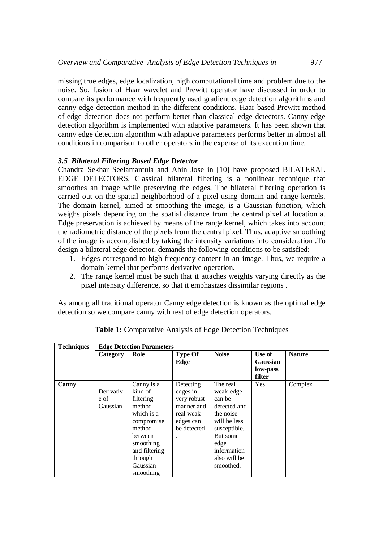missing true edges, edge localization, high computational time and problem due to the noise. So, fusion of Haar wavelet and Prewitt operator have discussed in order to compare its performance with frequently used gradient edge detection algorithms and canny edge detection method in the different conditions. Haar based Prewitt method of edge detection does not perform better than classical edge detectors. Canny edge detection algorithm is implemented with adaptive parameters. It has been shown that canny edge detection algorithm with adaptive parameters performs better in almost all conditions in comparison to other operators in the expense of its execution time.

### *3.5 Bilateral Filtering Based Edge Detector*

Chandra Sekhar Seelamantula and Abin Jose in [10] have proposed BILATERAL EDGE DETECTORS. Classical bilateral filtering is a nonlinear technique that smoothes an image while preserving the edges. The bilateral filtering operation is carried out on the spatial neighborhood of a pixel using domain and range kernels. The domain kernel, aimed at smoothing the image, is a Gaussian function, which weighs pixels depending on the spatial distance from the central pixel at location a. Edge preservation is achieved by means of the range kernel, which takes into account the radiometric distance of the pixels from the central pixel. Thus, adaptive smoothing of the image is accomplished by taking the intensity variations into consideration .To design a bilateral edge detector, demands the following conditions to be satisfied:

- 1. Edges correspond to high frequency content in an image. Thus, we require a domain kernel that performs derivative operation.
- 2. The range kernel must be such that it attaches weights varying directly as the pixel intensity difference, so that it emphasizes dissimilar regions .

As among all traditional operator Canny edge detection is known as the optimal edge detection so we compare canny with rest of edge detection operators.

| <b>Techniques</b> | <b>Edge Detection Parameters</b> |                                                                                                                                                                 |                                                                                              |                                                                                                                                                              |                                          |               |
|-------------------|----------------------------------|-----------------------------------------------------------------------------------------------------------------------------------------------------------------|----------------------------------------------------------------------------------------------|--------------------------------------------------------------------------------------------------------------------------------------------------------------|------------------------------------------|---------------|
|                   | Category                         | Role                                                                                                                                                            | <b>Type Of</b><br>Edge                                                                       | <b>Noise</b>                                                                                                                                                 | Use of<br>Gaussian<br>low-pass<br>filter | <b>Nature</b> |
| Canny             | Derivativ<br>e of<br>Gaussian    | Canny is a<br>kind of<br>filtering<br>method<br>which is a<br>compromise<br>method<br>between<br>smoothing<br>and filtering<br>through<br>Gaussian<br>smoothing | Detecting<br>edges in<br>very robust<br>manner and<br>real weak-<br>edges can<br>be detected | The real<br>weak-edge<br>can be<br>detected and<br>the noise<br>will be less<br>susceptible.<br>But some<br>edge<br>information<br>also will be<br>smoothed. | <b>Yes</b>                               | Complex       |

**Table 1:** Comparative Analysis of Edge Detection Techniques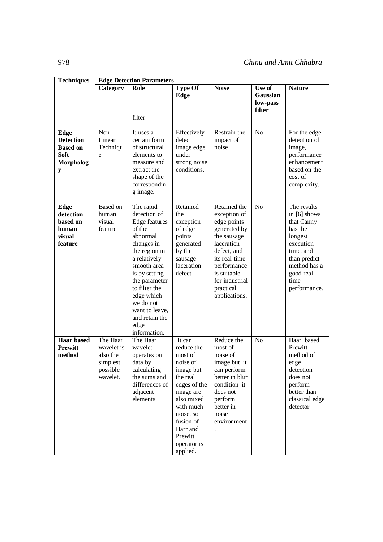| <b>Techniques</b>                                                                   | <b>Edge Detection Parameters</b>                                       |                                                                                                                                                                                                                                                                          |                                                                                                                                                                                                          |                                                                                                                                                                                                        |                                          |                                                                                                                                                                   |  |
|-------------------------------------------------------------------------------------|------------------------------------------------------------------------|--------------------------------------------------------------------------------------------------------------------------------------------------------------------------------------------------------------------------------------------------------------------------|----------------------------------------------------------------------------------------------------------------------------------------------------------------------------------------------------------|--------------------------------------------------------------------------------------------------------------------------------------------------------------------------------------------------------|------------------------------------------|-------------------------------------------------------------------------------------------------------------------------------------------------------------------|--|
|                                                                                     | Category                                                               | Role                                                                                                                                                                                                                                                                     | <b>Type Of</b><br>Edge                                                                                                                                                                                   | <b>Noise</b>                                                                                                                                                                                           | Use of<br>Gaussian<br>low-pass<br>filter | <b>Nature</b>                                                                                                                                                     |  |
|                                                                                     |                                                                        | filter                                                                                                                                                                                                                                                                   |                                                                                                                                                                                                          |                                                                                                                                                                                                        |                                          |                                                                                                                                                                   |  |
| Edge<br><b>Detection</b><br><b>Based on</b><br><b>Soft</b><br><b>Morpholog</b><br>y | Non<br>Linear<br>Techniqu<br>e                                         | It uses a<br>certain form<br>of structural<br>elements to<br>measure and<br>extract the<br>shape of the<br>correspondin<br>g image.                                                                                                                                      | Effectively<br>detect<br>image edge<br>under<br>strong noise<br>conditions.                                                                                                                              | Restrain the<br>impact of<br>noise                                                                                                                                                                     | N <sub>o</sub>                           | For the edge<br>detection of<br>image,<br>performance<br>enhancement<br>based on the<br>cost of<br>complexity.                                                    |  |
| Edge<br>detection<br>based on<br>human<br>visual<br>feature                         | Based on<br>human<br>visual<br>feature                                 | The rapid<br>detection of<br>Edge features<br>of the<br>abnormal<br>changes in<br>the region in<br>a relatively<br>smooth area<br>is by setting<br>the parameter<br>to filter the<br>edge which<br>we do not<br>want to leave,<br>and retain the<br>edge<br>information. | Retained<br>the<br>exception<br>of edge<br>points<br>generated<br>by the<br>sausage<br>laceration<br>defect                                                                                              | Retained the<br>exception of<br>edge points<br>generated by<br>the sausage<br>laceration<br>defect, and<br>its real-time<br>performance<br>is suitable<br>for industrial<br>practical<br>applications. | N <sub>o</sub>                           | The results<br>in $[6]$ shows<br>that Canny<br>has the<br>longest<br>execution<br>time, and<br>than predict<br>method has a<br>good real-<br>time<br>performance. |  |
| <b>Haar</b> based<br><b>Prewitt</b><br>method                                       | The Haar<br>wavelet is<br>also the<br>simplest<br>possible<br>wavelet. | The Haar<br>wavelet<br>operates on<br>data by<br>calculating<br>the sums and<br>differences of<br>adjacent<br>elements                                                                                                                                                   | It can<br>reduce the<br>most of<br>noise of<br>image but<br>the real<br>edges of the<br>image are<br>also mixed<br>with much<br>noise, so<br>fusion of<br>Harr and<br>Prewitt<br>operator is<br>applied. | Reduce the<br>most of<br>noise of<br>image but it<br>can perform<br>better in blur<br>condition .it<br>does not<br>perform<br>better in<br>noise<br>environment                                        | N <sub>o</sub>                           | Haar based<br>Prewitt<br>method of<br>edge<br>detection<br>does not<br>perform<br>better than<br>classical edge<br>detector                                       |  |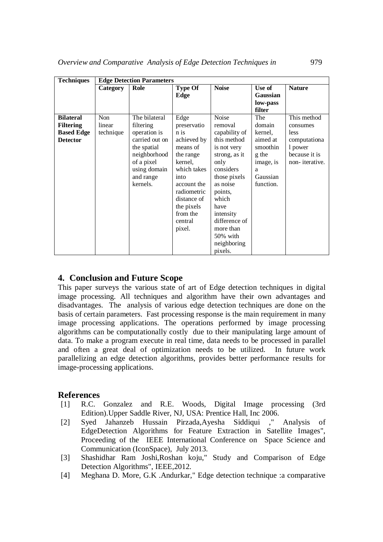| <b>Techniques</b> | <b>Edge Detection Parameters</b> |                |                |               |           |                |
|-------------------|----------------------------------|----------------|----------------|---------------|-----------|----------------|
|                   | Category                         | Role           | <b>Type Of</b> | <b>Noise</b>  | Use of    | <b>Nature</b>  |
|                   |                                  |                | Edge           |               | Gaussian  |                |
|                   |                                  |                |                |               | low-pass  |                |
|                   |                                  |                |                |               | filter    |                |
| <b>Bilateral</b>  | <b>Non</b>                       | The bilateral  | Edge           | Noise         | The       | This method    |
| <b>Filtering</b>  | linear                           | filtering      | preservatio    | removal       | domain    | consumes       |
| <b>Based Edge</b> | technique                        | operation is   | n is           | capability of | kernel,   | less           |
| <b>Detector</b>   |                                  | carried out on | achieved by    | this method   | aimed at  | computationa   |
|                   |                                  | the spatial    | means of       | is not very   | smoothin  | 1 power        |
|                   |                                  | neighborhood   | the range      | strong, as it | g the     | because it is  |
|                   |                                  | of a pixel     | kernel,        | only          | image, is | non-iterative. |
|                   |                                  | using domain   | which takes    | considers     | a         |                |
|                   |                                  | and range      | into           | those pixels  | Gaussian  |                |
|                   |                                  | kernels.       | account the    | as noise      | function. |                |
|                   |                                  |                | radiometric    | points,       |           |                |
|                   |                                  |                | distance of    | which         |           |                |
|                   |                                  |                | the pixels     | have          |           |                |
|                   |                                  |                | from the       | intensity     |           |                |
|                   |                                  |                | central        | difference of |           |                |
|                   |                                  |                | pixel.         | more than     |           |                |
|                   |                                  |                |                | 50% with      |           |                |
|                   |                                  |                |                | neighboring   |           |                |
|                   |                                  |                |                | pixels.       |           |                |

# **4. Conclusion and Future Scope**

This paper surveys the various state of art of Edge detection techniques in digital image processing. All techniques and algorithm have their own advantages and disadvantages. The analysis of various edge detection techniques are done on the basis of certain parameters. Fast processing response is the main requirement in many image processing applications. The operations performed by image processing algorithms can be computationally costly due to their manipulating large amount of data. To make a program execute in real time, data needs to be processed in parallel and often a great deal of optimization needs to be utilized. In future work parallelizing an edge detection algorithms, provides better performance results for image-processing applications.

# **References**

- [1] R.C. Gonzalez and R.E. Woods, Digital Image processing (3rd Edition).Upper Saddle River, NJ, USA: Prentice Hall, Inc 2006.
- [2] Syed Jahanzeb Hussain Pirzada,Ayesha Siddiqui ," Analysis of EdgeDetection Algorithms for Feature Extraction in Satellite Images", Proceeding of the IEEE International Conference on Space Science and Communication (IconSpace), July 2013.
- [3] Shashidhar Ram Joshi,Roshan koju," Study and Comparison of Edge Detection Algorithms", IEEE,2012.
- [4] Meghana D. More, G.K .Andurkar," Edge detection technique :a comparative